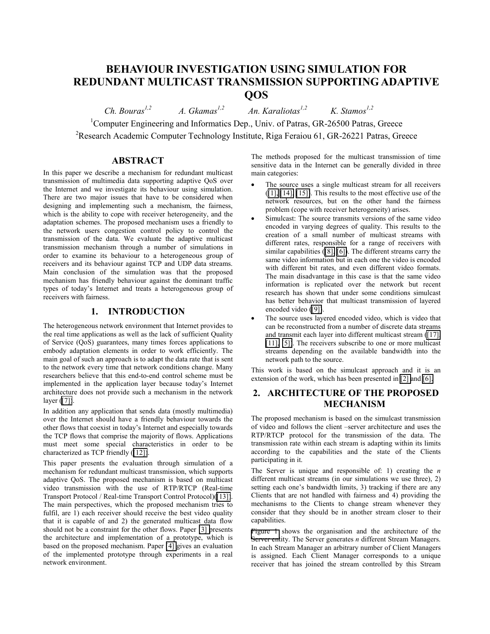# **BEHAVIOUR INVESTIGATION USING SIMULATION FOR REDUNDANT MULTICAST TRANSMISSION SUPPORTING ADAPTIVE QOS**

*Ch. Bouras<sup>1,2</sup> A. Gkamas<sup>1,2</sup> An. Karaliotas<sup>1,2</sup> K. Stamos<sup>1,2</sup>* <sup>1</sup>Computer Engineering and Informatics Dep., Univ. of Patras, GR-26500 Patras, Greece <sup>2</sup>Research Academic Computer Technology Institute, Riga Feraiou 61, GR-26221 Patras, Greece

## **ABSTRACT**

In this paper we describe a mechanism for redundant multicast transmission of multimedia data supporting adaptive QoS over the Internet and we investigate its behaviour using simulation. There are two major issues that have to be considered when designing and implementing such a mechanism, the fairness, which is the ability to cope with receiver heterogeneity, and the adaptation schemes. The proposed mechanism uses a friendly to the network users congestion control policy to control the transmission of the data. We evaluate the adaptive multicast transmission mechanism through a number of simulations in order to examine its behaviour to a heterogeneous group of receivers and its behaviour against TCP and UDP data streams. Main conclusion of the simulation was that the proposed mechanism has friendly behaviour against the dominant traffic types of today's Internet and treats a heterogeneous group of receivers with fairness.

## **1. INTRODUCTION**

The heterogeneous network environment that Internet provides to the real time applications as well as the lack of sufficient Quality of Service (QoS) guarantees, many times forces applications to embody adaptation elements in order to work efficiently. The main goal of such an approach is to adapt the data rate that is sent to the network every time that network conditions change. Many researchers believe that this end-to-end control scheme must be implemented in the application layer because today's Internet architecture does not provide such a mechanism in the network layer [\(\[7\]\)](#page-5-0).

In addition any application that sends data (mostly multimedia) over the Internet should have a friendly behaviour towards the other flows that coexist in today's Internet and especially towards the TCP flows that comprise the majority of flows. Applications must meet some special characteristics in order to be characterized as TCP friendly ([\[12\]\)](#page-5-0).

This paper presents the evaluation through simulation of a mechanism for redundant multicast transmission, which supports adaptive QoS. The proposed mechanism is based on multicast video transmission with the use of RTP/RTCP (Real-time Transport Protocol / Real-time Transport Control Protocol)([\[13\]\)](#page-5-0). The main perspectives, which the proposed mechanism tries to fulfil, are  $\hat{1}$ ) each receiver should receive the best video quality that it is capable of and 2) the generated multicast data flow should not be a constraint for the other flows. Paper [\[3\] p](#page-5-0)resents the architecture and implementation of a prototype, which is based on the proposed mechanism. Paper [\[4\]](#page-5-0) gives an evaluation of the implemented prototype through experiments in a real network environment.

The methods proposed for the multicast transmission of time sensitive data in the Internet can be generally divided in three main categories:

- The source uses a single multicast stream for all receivers  $([1], [14], [15])$  $([1], [14], [15])$  $([1], [14], [15])$  $([1], [14], [15])$ . This results to the most effective use of the network resources, but on the other hand the fairness problem (cope with receiver heterogeneity) arises.
- Simulcast: The source transmits versions of the same video encoded in varying degrees of quality. This results to the creation of a small number of multicast streams with different rates, responsible for a range of receivers with similar capabilities ([\[8\],](#page-5-0) [\[6\]\)](#page-5-0). The different streams carry the same video information but in each one the video is encoded with different bit rates, and even different video formats. The main disadvantage in this case is that the same video information is replicated over the network but recent research has shown that under some conditions simulcast has better behavior that multicast transmission of layered encoded video [\(\[9\]\)](#page-5-0).
- The source uses layered encoded video, which is video that can be reconstructed from a number of discrete data streams and transmit each layer into different multicast stream [\(\[17\],](#page-5-0) [\[11\],](#page-5-0) [\[5\]\)](#page-5-0). The receivers subscribe to one or more multicast streams depending on the available bandwidth into the network path to the source.

This work is based on the simulcast approach and it is an extension of the work, which has been presented in [\[2\]](#page-5-0) and [\[6\].](#page-5-0)

# **2. ARCHITECTURE OF THE PROPOSED MECHANISM**

The proposed mechanism is based on the simulcast transmission of video and follows the client –server architecture and uses the RTP/RTCP protocol for the transmission of the data. The transmission rate within each stream is adapting within its limits according to the capabilities and the state of the Clients participating in it.

The Server is unique and responsible of: 1) creating the *n* different multicast streams (in our simulations we use three), 2) setting each one's bandwidth limits, 3) tracking if there are any Clients that are not handled with fairness and 4) providing the mechanisms to the Clients to change stream whenever they consider that they should be in another stream closer to their capabilities.

[Figure 1](#page-1-0) shows the organisation and the architecture of the Server entity. The Server generates *n* different Stream Managers. In each Stream Manager an arbitrary number of Client Managers is assigned. Each Client Manager corresponds to a unique receiver that has joined the stream controlled by this Stream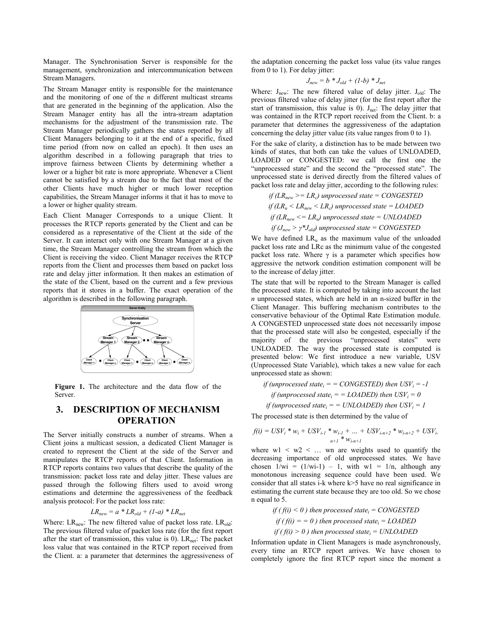<span id="page-1-0"></span>Manager. The Synchronisation Server is responsible for the management, synchronization and intercommunication between Stream Managers.

The Stream Manager entity is responsible for the maintenance and the monitoring of one of the *n* different multicast streams that are generated in the beginning of the application. Also the Stream Manager entity has all the intra-stream adaptation mechanisms for the adjustment of the transmission rate. The Stream Manager periodically gathers the states reported by all Client Managers belonging to it at the end of a specific, fixed time period (from now on called an epoch). It then uses an algorithm described in a following paragraph that tries to improve fairness between Clients by determining whether a lower or a higher bit rate is more appropriate. Whenever a Client cannot be satisfied by a stream due to the fact that most of the other Clients have much higher or much lower reception capabilities, the Stream Manager informs it that it has to move to a lower or higher quality stream.

Each Client Manager Corresponds to a unique Client. It processes the RTCP reports generated by the Client and can be considered as a representative of the Client at the side of the Server. It can interact only with one Stream Manager at a given time, the Stream Manager controlling the stream from which the Client is receiving the video. Client Manager receives the RTCP reports from the Client and processes them based on packet loss rate and delay jitter information. It then makes an estimation of the state of the Client, based on the current and a few previous reports that it stores in a buffer. The exact operation of the algorithm is described in the following paragraph.



**Figure 1.** The architecture and the data flow of the Server.

# **3. DESCRIPTION OF MECHANISM OPERATION**

The Server initially constructs a number of streams. When a Client joins a multicast session, a dedicated Client Manager is created to represent the Client at the side of the Server and manipulates the RTCP reports of that Client. Information in RTCP reports contains two values that describe the quality of the transmission: packet loss rate and delay jitter. These values are passed through the following filters used to avoid wrong estimations and determine the aggressiveness of the feedback analysis protocol: For the packet loss rate:

$$
LR_{new} = a * LR_{old} + (1-a) * LR_{net}
$$

Where:  $LR_{\text{new}}$ : The new filtered value of packet loss rate.  $LR_{\text{old}}$ : The previous filtered value of packet loss rate (for the first report after the start of transmission, this value is  $0$ ). LR<sub>net</sub>: The packet loss value that was contained in the RTCP report received from the Client. a: a parameter that determines the aggressiveness of the adaptation concerning the packet loss value (its value ranges from 0 to 1). For delay jitter:

$$
J_{new} = b * J_{old} + (1-b) * J_{net}
$$

Where: J<sub>new</sub>: The new filtered value of delay jitter. J<sub>old</sub>: The previous filtered value of delay jitter (for the first report after the start of transmission, this value is 0).  $J_{net}$ : The delay jitter that was contained in the RTCP report received from the Client. b: a parameter that determines the aggressiveness of the adaptation concerning the delay jitter value (its value ranges from 0 to 1).

For the sake of clarity, a distinction has to be made between two kinds of states, that both can take the values of UNLOADED, LOADED or CONGESTED: we call the first one the "unprocessed state" and the second the "processed state". The unprocessed state is derived directly from the filtered values of packet loss rate and delay jitter, according to the following rules:

if 
$$
(LR_{new} \geq = LR_c)
$$
 unprocessed state = CONGESTED  
if  $(LR_u < LR_{new} \leq LR_c)$  unprocessed state = LOADED  
if  $(LR_{new} \leq = LR_u)$  unprocessed state = UNLOADED  
if  $(J_{new} \geq \gamma^* J_{old})$  unprocessed state = CONGESTED

We have defined  $LR_u$  as the maximum value of the unloaded packet loss rate and LRc as the minimum value of the congested packet loss rate. Where  $\gamma$  is a parameter which specifies how aggressive the network condition estimation component will be to the increase of delay jitter.

The state that will be reported to the Stream Manager is called the processed state. It is computed by taking into account the last *n* unprocessed states, which are held in an n-sized buffer in the Client Manager. This buffering mechanism contributes to the conservative behaviour of the Optimal Rate Estimation module. A CONGESTED unprocessed state does not necessarily impose that the processed state will also be congested, especially if the majority of the previous "unprocessed states" were UNLOADED. The way the processed state is computed is presented below: We first introduce a new variable, USV (Unprocessed State Variable), which takes a new value for each unprocessed state as shown:

if (unprocessed state<sub>i</sub> = = CONGESTED) then 
$$
USV_i = -1
$$
  
if (unprocessed state<sub>i</sub> = =  $LOADED$ ) then  $USV_i = 0$   
if (unprocessed state<sub>i</sub> = =  $UNLOADED$ ) then  $USV_i = 1$ 

The processed state is then determined by the value of

$$
f(i) = USV_i * w_i + USV_{i-1} * w_{i-1} + ... + USV_{i-n+2} * w_{i-n+2} + USV_{i-2}
$$
  

$$
w_{i-1} * w_{i-n+1}
$$

where  $w1 \leq w2 \leq \dots$  wn are weights used to quantify the decreasing importance of old unprocessed states. We have chosen  $1/wi = (1/wi-1) - 1$ , with  $w1 = 1/n$ , although any monotonous increasing sequence could have been used. We consider that all states i-k where k>5 have no real significance in estimating the current state because they are too old. So we chose n equal to 5.

> *if* ( $f(i) < 0$ ) then processed state<sub>i</sub> = CONGESTED *if* ( $f(i) = 0$ ) then processed state<sub>i</sub> = LOADED *if* ( $f(i) > 0$ ) then processed state<sub>i</sub> = UNLOADED

Information update in Client Managers is made asynchronously, every time an RTCP report arrives. We have chosen to completely ignore the first RTCP report since the moment a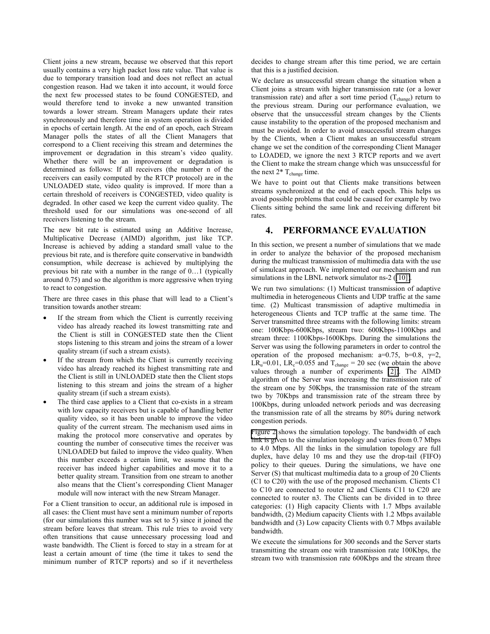Client joins a new stream, because we observed that this report usually contains a very high packet loss rate value. That value is due to temporary transition load and does not reflect an actual congestion reason. Had we taken it into account, it would force the next few processed states to be found CONGESTED, and would therefore tend to invoke a new unwanted transition towards a lower stream. Stream Managers update their rates synchronously and therefore time in system operation is divided in epochs of certain length. At the end of an epoch, each Stream Manager polls the states of all the Client Managers that correspond to a Client receiving this stream and determines the improvement or degradation in this stream's video quality. Whether there will be an improvement or degradation is determined as follows: If all receivers (the number n of the receivers can easily computed by the RTCP protocol) are in the UNLOADED state, video quality is improved. If more than a certain threshold of receivers is CONGESTED, video quality is degraded. In other cased we keep the current video quality. The threshold used for our simulations was one-second of all receivers listening to the stream.

The new bit rate is estimated using an Additive Increase, Multiplicative Decrease (AIMD) algorithm, just like TCP. Increase is achieved by adding a standard small value to the previous bit rate, and is therefore quite conservative in bandwidth consumption, while decrease is achieved by multiplying the previous bit rate with a number in the range of 0…1 (typically around 0.75) and so the algorithm is more aggressive when trying to react to congestion.

There are three cases in this phase that will lead to a Client's transition towards another stream:

- If the stream from which the Client is currently receiving video has already reached its lowest transmitting rate and the Client is still in CONGESTED state then the Client stops listening to this stream and joins the stream of a lower quality stream (if such a stream exists).
- If the stream from which the Client is currently receiving video has already reached its highest transmitting rate and the Client is still in UNLOADED state then the Client stops listening to this stream and joins the stream of a higher quality stream (if such a stream exists).
- The third case applies to a Client that co-exists in a stream with low capacity receivers but is capable of handling better quality video, so it has been unable to improve the video quality of the current stream. The mechanism used aims in making the protocol more conservative and operates by counting the number of consecutive times the receiver was UNLOADED but failed to improve the video quality. When this number exceeds a certain limit, we assume that the receiver has indeed higher capabilities and move it to a better quality stream. Transition from one stream to another also means that the Client's corresponding Client Manager module will now interact with the new Stream Manager.

For a Client transition to occur, an additional rule is imposed in all cases: the Client must have sent a minimum number of reports (for our simulations this number was set to 5) since it joined the stream before leaves that stream. This rule tries to avoid very often transitions that cause unnecessary processing load and waste bandwidth. The Client is forced to stay in a stream for at least a certain amount of time (the time it takes to send the minimum number of RTCP reports) and so if it nevertheless

decides to change stream after this time period, we are certain that this is a justified decision.

We declare as unsuccessful stream change the situation when a Client joins a stream with higher transmission rate (or a lower transmission rate) and after a sort time period  $(T_{change})$  return to the previous stream. During our performance evaluation, we observe that the unsuccessful stream changes by the Clients cause instability to the operation of the proposed mechanism and must be avoided. In order to avoid unsuccessful stream changes by the Clients, when a Client makes an unsuccessful stream change we set the condition of the corresponding Client Manager to LOADED, we ignore the next 3 RTCP reports and we avert the Client to make the stream change which was unsuccessful for the next  $2^*$  T<sub>change</sub> time.

We have to point out that Clients make transitions between streams synchronized at the end of each epoch. This helps us avoid possible problems that could be caused for example by two Clients sitting behind the same link and receiving different bit rates.

#### **4. PERFORMANCE EVALUATION**

In this section, we present a number of simulations that we made in order to analyze the behavior of the proposed mechanism during the multicast transmission of multimedia data with the use of simulcast approach. We implemented our mechanism and run simulations in the LBNL network simulator ns-2 ([\[10\]\)](#page-5-0).

We run two simulations: (1) Multicast transmission of adaptive multimedia in heterogeneous Clients and UDP traffic at the same time. (2) Multicast transmission of adaptive multimedia in heterogeneous Clients and TCP traffic at the same time. The Server transmitted three streams with the following limits: stream one: 100Kbps-600Kbps, stream two: 600Kbps-1100Kbps and stream three: 1100Kbps-1600Kbps. During the simulations the Server was using the following parameters in order to control the operation of the proposed mechanism:  $a=0.75$ ,  $b=0.8$ ,  $\gamma=2$ ,  $LR_u=0.01$ ,  $LR_c=0.055$  and  $T_{change}=20$  sec (we obtain the above values through a number of experiments [\[2\]\)](#page-5-0). The AIMD algorithm of the Server was increasing the transmission rate of the stream one by 50Kbps, the transmission rate of the stream two by 70Kbps and transmission rate of the stream three by 100Kbps, during unloaded network periods and was decreasing the transmission rate of all the streams by 80% during network congestion periods.

[Figure 2](#page-3-0) shows the simulation topology. The bandwidth of each link is given to the simulation topology and varies from 0.7 Mbps to 4.0 Mbps. All the links in the simulation topology are full duplex, have delay 10 ms and they use the drop-tail (FIFO) policy to their queues. During the simulations, we have one Server (S) that multicast multimedia data to a group of 20 Clients (C1 to C20) with the use of the proposed mechanism. Clients C1 to C10 are connected to router n2 and Clients C11 to C20 are connected to router n3. The Clients can be divided in to three categories: (1) High capacity Clients with 1.7 Mbps available bandwidth, (2) Medium capacity Clients with 1.2 Mbps available bandwidth and (3) Low capacity Clients with 0.7 Mbps available bandwidth.

We execute the simulations for 300 seconds and the Server starts transmitting the stream one with transmission rate 100Kbps, the stream two with transmission rate 600Kbps and the stream three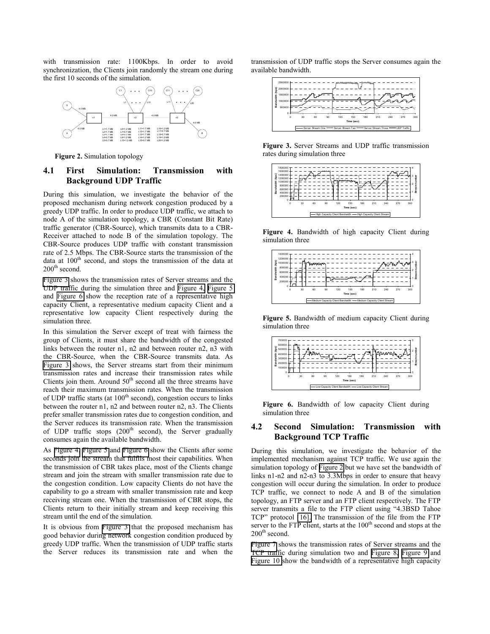<span id="page-3-0"></span>with transmission rate: 1100Kbps. In order to avoid synchronization, the Clients join randomly the stream one during the first 10 seconds of the simulation.



**Figure 2.** Simulation topology

#### **4.1 First Simulation: Transmission with Background UDP Traffic**

During this simulation, we investigate the behavior of the proposed mechanism during network congestion produced by a greedy UDP traffic. In order to produce UDP traffic, we attach to node A of the simulation topology, a CBR (Constant Bit Rate) traffic generator (CBR-Source), which transmits data to a CBR-Receiver attached to node B of the simulation topology. The CBR-Source produces UDP traffic with constant transmission rate of 2.5 Mbps. The CBR-Source starts the transmission of the data at 100<sup>th</sup> second, and stops the transmission of the data at 200<sup>th</sup> second.

Figure 3 shows the transmission rates of Server streams and the UDP traffic during the simulation three and Figure 4, Figure 5 and Figure 6 show the reception rate of a representative high capacity Client, a representative medium capacity Client and a representative low capacity Client respectively during the simulation three.

In this simulation the Server except of treat with fairness the group of Clients, it must share the bandwidth of the congested links between the router n1, n2 and between router n2, n3 with the CBR-Source, when the CBR-Source transmits data. As Figure 3 shows, the Server streams start from their minimum transmission rates and increase their transmission rates while Clients join them. Around  $50<sup>th</sup>$  second all the three streams have reach their maximum transmission rates. When the transmission of UDP traffic starts (at 100<sup>th</sup> second), congestion occurs to links between the router n1, n2 and between router n2, n3. The Clients prefer smaller transmission rates due to congestion condition, and the Server reduces its transmission rate. When the transmission of UDP traffic stops (200<sup>th</sup> second), the Server gradually consumes again the available bandwidth.

As Figure 4, Figure 5 and Figure 6 show the Clients after some seconds join the stream that fulfils most their capabilities. When the transmission of CBR takes place, most of the Clients change stream and join the stream with smaller transmission rate due to the congestion condition. Low capacity Clients do not have the capability to go a stream with smaller transmission rate and keep receiving stream one. When the transmission of CBR stops, the Clients return to their initially stream and keep receiving this stream until the end of the simulation.

It is obvious from Figure 3 that the proposed mechanism has good behavior during network congestion condition produced by greedy UDP traffic. When the transmission of UDP traffic starts the Server reduces its transmission rate and when the transmission of UDP traffic stops the Server consumes again the available bandwidth.



**Figure 3.** Server Streams and UDP traffic transmission rates during simulation three



**Figure 4.** Bandwidth of high capacity Client during simulation three



**Figure 5.** Bandwidth of medium capacity Client during simulation three



**Figure 6.** Bandwidth of low capacity Client during simulation three

## **4.2 Second Simulation: Transmission with Background TCP Traffic**

During this simulation, we investigate the behavior of the implemented mechanism against TCP traffic. We use again the simulation topology of Figure 2 but we have set the bandwidth of links n1-n2 and n2-n3 to 3.3Mbps in order to ensure that heavy congestion will occur during the simulation. In order to produce TCP traffic, we connect to node A and B of the simulation topology, an FTP server and an FTP client respectively. The FTP server transmits a file to the FTP client using "4.3BSD Tahoe TCP" protocol [\[16\].](#page-5-0) The transmission of the file from the FTP server to the FTP client, starts at the 100<sup>th</sup> second and stops at the 200<sup>th</sup> second.

[Figure 7](#page-4-0) shows the transmission rates of Server streams and the TCP traffic during simulation two and [Figure 8,](#page-4-0) [Figure 9](#page-4-0) and [Figure 10](#page-4-0) show the bandwidth of a representative high capacity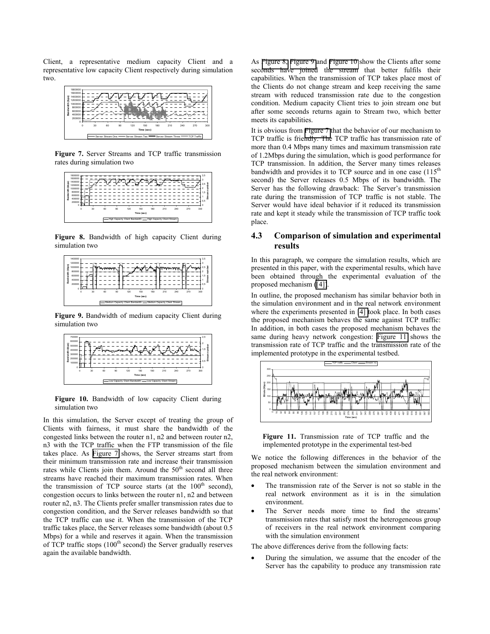<span id="page-4-0"></span>Client, a representative medium capacity Client and a representative low capacity Client respectively during simulation two.



**Figure 7.** Server Streams and TCP traffic transmission rates during simulation two



**Figure 8.** Bandwidth of high capacity Client during simulation two



**Figure 9.** Bandwidth of medium capacity Client during simulation two



Figure 10. Bandwidth of low capacity Client during simulation two

In this simulation, the Server except of treating the group of Clients with fairness, it must share the bandwidth of the congested links between the router n1, n2 and between router n2, n3 with the TCP traffic when the FTP transmission of the file takes place. As Figure 7 shows, the Server streams start from their minimum transmission rate and increase their transmission rates while Clients join them. Around the  $50<sup>th</sup>$  second all three streams have reached their maximum transmission rates. When the transmission of TCP source starts (at the  $100<sup>th</sup>$  second), congestion occurs to links between the router n1, n2 and between router n2, n3. The Clients prefer smaller transmission rates due to congestion condition, and the Server releases bandwidth so that the TCP traffic can use it. When the transmission of the TCP traffic takes place, the Server releases some bandwidth (about 0.5 Mbps) for a while and reserves it again. When the transmission of TCP traffic stops (100<sup>th</sup> second) the Server gradually reserves again the available bandwidth.

As Figure 8, Figure 9 and Figure 10 show the Clients after some seconds have joined the stream that better fulfils their capabilities. When the transmission of TCP takes place most of the Clients do not change stream and keep receiving the same stream with reduced transmission rate due to the congestion condition. Medium capacity Client tries to join stream one but after some seconds returns again to Stream two, which better meets its capabilities.

It is obvious from Figure 7 that the behavior of our mechanism to TCP traffic is friendly. The TCP traffic has transmission rate of more than 0.4 Mbps many times and maximum transmission rate of 1.2Mbps during the simulation, which is good performance for TCP transmission. In addition, the Server many times releases bandwidth and provides it to TCP source and in one case  $(115<sup>th</sup>)$ second) the Server releases 0.5 Mbps of its bandwidth. The Server has the following drawback: The Server's transmission rate during the transmission of TCP traffic is not stable. The Server would have ideal behavior if it reduced its transmission rate and kept it steady while the transmission of TCP traffic took place.

#### **4.3 Comparison of simulation and experimental results**

In this paragraph, we compare the simulation results, which are presented in this paper, with the experimental results, which have been obtained through the experimental evaluation of the proposed mechanism [\(\[4\]\)](#page-5-0).

In outline, the proposed mechanism has similar behavior both in the simulation environment and in the real network environment where the experiments presented in [\[4\] t](#page-5-0)ook place. In both cases the proposed mechanism behaves the same against TCP traffic: In addition, in both cases the proposed mechanism behaves the same during heavy network congestion: Figure 11 shows the transmission rate of TCP traffic and the transmission rate of the implemented prototype in the experimental testbed.



**Figure 11.** Transmission rate of TCP traffic and the implemented prototype in the experimental test-bed

We notice the following differences in the behavior of the proposed mechanism between the simulation environment and the real network environment:

- The transmission rate of the Server is not so stable in the real network environment as it is in the simulation environment.
- The Server needs more time to find the streams' transmission rates that satisfy most the heterogeneous group of receivers in the real network environment comparing with the simulation environment

The above differences derive from the following facts:

• During the simulation, we assume that the encoder of the Server has the capability to produce any transmission rate